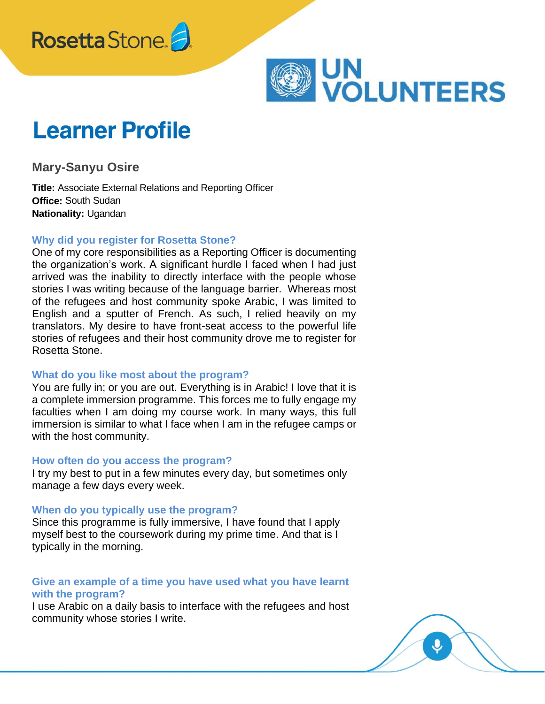



# **Learner Profile**

**Mary-Sanyu Osire** 

**Title:** Associate External Relations and Reporting Officer **Office:** South Sudan **Nationality:** Ugandan

# **Why did you register for Rosetta Stone?**

One of my core responsibilities as a Reporting Officer is documenting the organization's work. A significant hurdle I faced when I had just arrived was the inability to directly interface with the people whose stories I was writing because of the language barrier. Whereas most of the refugees and host community spoke Arabic, I was limited to English and a sputter of French. As such, I relied heavily on my translators. My desire to have front-seat access to the powerful life stories of refugees and their host community drove me to register for Rosetta Stone.

#### **What do you like most about the program?**

You are fully in; or you are out. Everything is in Arabic! I love that it is a complete immersion programme. This forces me to fully engage my faculties when I am doing my course work. In many ways, this full immersion is similar to what I face when I am in the refugee camps or with the host community.

#### **How often do you access the program?**

I try my best to put in a few minutes every day, but sometimes only manage a few days every week.

#### **When do you typically use the program?**

Since this programme is fully immersive, I have found that I apply myself best to the coursework during my prime time. And that is I typically in the morning.

## **Give an example of a time you have used what you have learnt with the program?**

I use Arabic on a daily basis to interface with the refugees and host community whose stories I write.